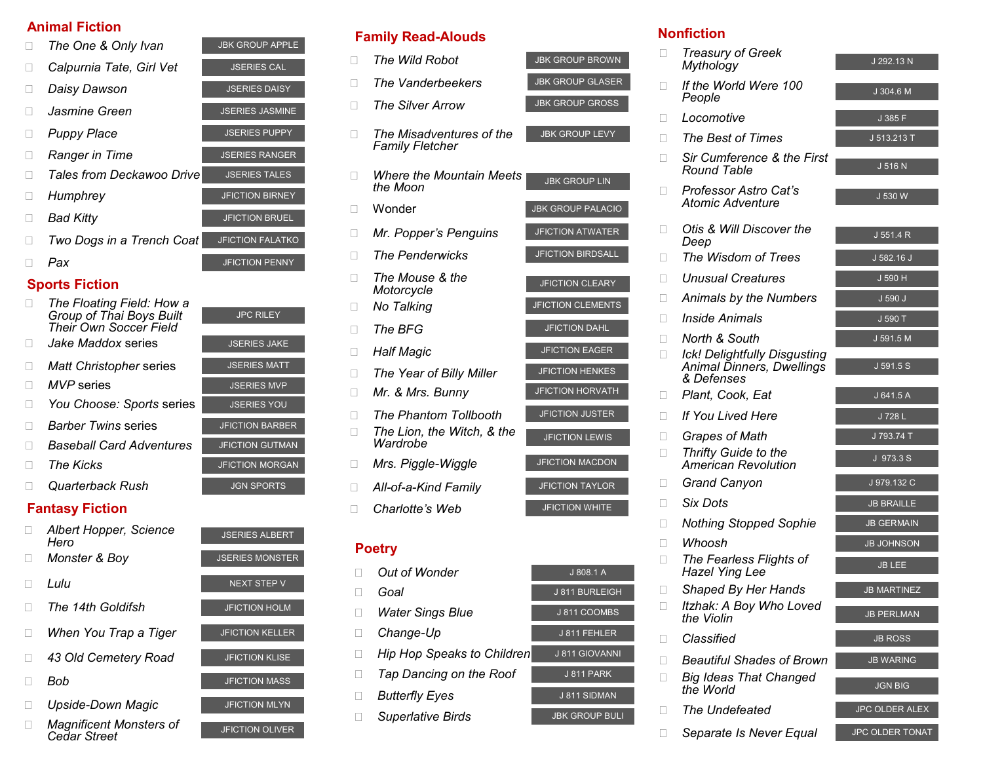### **Animal Fiction**



## **Sports Fiction**

|   | The Floating Field: How a<br>Group of Thai Boys Built<br>Their Own Soccer Field | <b>JPC RILEY</b>       |
|---|---------------------------------------------------------------------------------|------------------------|
|   | Jake Maddox series                                                              | <b>JSERIES JAKE</b>    |
| Ш | Matt Christopher series                                                         | <b>JSERIES MATT</b>    |
|   | <b>MVP</b> series                                                               | <b>JSERIES MVP</b>     |
| Ш | You Choose: Sports series                                                       | <b>JSERIES YOU</b>     |
|   | <b>Barber Twins series</b>                                                      | <b>JFICTION BARBER</b> |
|   | <b>Baseball Card Adventures</b>                                                 | <b>JFICTION GUTMAN</b> |
|   | The Kicks                                                                       | <b>JFICTION MORGAN</b> |
|   | Quarterback Rush                                                                | <b>JGN SPORTS</b>      |

### **Fantasy Fiction**

| П | Albert Hopper, Science |  |
|---|------------------------|--|
|   | Hero                   |  |

- **Monster & Boy JSERIES MONSTER**
- **Lulu** NEXT STEP V
- **The 14th Goldifsh State State State State State State State State State State State State State State State State State State State State State State State State State State State State State State State State State State**
- **If When You Trap a Tiger I JFICTION KELLER**
- **43 Old Cemetery Road** JFICTION KLISE
- **Bob** JFICTION MASS
- **Upside-Down Magic JFICTION MLYN**
- **Example 3** *Magnificent Monsters of SECTION OLIVER Cedar Street*

|     | <b>JBK GROUP APPLE</b>  |
|-----|-------------------------|
|     | <b>JSERIES CAL</b>      |
|     | <b>JSERIES DAISY</b>    |
|     | <b>JSERIES JASMINE</b>  |
|     | <b>JSERIES PUPPY</b>    |
|     | <b>JSERIES RANGER</b>   |
| ive | <b>JSERIES TALES</b>    |
|     | <b>JFICTION BIRNEY</b>  |
|     | <b>JFICTION BRUEL</b>   |
| oat | <b>JFICTION FALATKO</b> |
|     | <b>JFICTION PENNY</b>   |
|     |                         |

JSERIES ALBERT *Albert Hopper, Science* 

# **Family Read-Alouds**

- **The Misadventures of the JBK GROUP LEVY** *Family Fletcher* **The Silver Arrow** JBK GROUP GROSS □ The Vanderbeekers **JUBK GROUP GLASER The Wild Robot** JBK GROUP BROWN **D** Where the Mountain Meets *BIK GROUP LIN the Moon*
- **Nonder All SERVICE SERVICE SERVICE SERVICE SERVICE SERVICE SERVICE SERVICE SERVICE SERVICE SERVICE SERVICE SERVICE SERVICE SERVICE SERVICE SERVICE SERVICE SERVICE SERVICE SERVICE SERVICE SERVICE SERVICE SERVICE SERVICE SE**
- *Mr. Popper's Penguins* JFICTION ATWATER
- **The Penderwicks JFICTION BIRDSALL**
- JFICTION CLEARY *The Mouse & the Motorcycle*
- **No Talking IFICTION CLEMENTS**
- **The BFG JFICTION DAHL**
- **Half Magic Half Magic JFICTION EAGER**
- **The Year of Billy Miller JFICTION HENKES**
- **Mr. & Mrs. Bunny Select Select Article Mr. A. Mrs. Bunny**
- **The Phantom Tollbooth** JFICTION JUSTER
- □ The Lion, the Witch, & the **influence Little Figure** *Wardrobe*
- *Mrs. Piggle-Wiggle* JFICTION MACDON
- *All-of-a-Kind Family* JFICTION TAYLOR
- **Charlotte**'s Web **JFICTION WHITE**

#### **Poetry**

- □ Out of Wonder J808.1 A **Goal Goal** J811 BURLEIGH **Nater Sings Blue** J811 COOMBS
- **Change-Up** J811 FEHLER
- **Hip Hop Speaks to Children** J811 GIOVANNI
- **Tap Dancing on the Roof** J811 PARK
- **Butterfly Eyes** J811 SIDMAN
- **Superlative Birds JBK GROUP BULI**

### **Nonfiction**

| П            | <b>Treasury of Greek</b><br>Mythology                                   | J 292.13 N            |
|--------------|-------------------------------------------------------------------------|-----------------------|
| Ш            | If the World Were 100<br>People                                         | J 304.6 M             |
| П            | Locomotive                                                              | J 385 F               |
| $\mathbf{L}$ | The Best of Times                                                       | J 513.213 T           |
| П            | Sir Cumference & the First<br><b>Round Table</b>                        | J 516 N               |
| П            | Professor Astro Cat's<br><b>Atomic Adventure</b>                        | J 530 W               |
| $\mathbf{L}$ | Otis & Will Discover the<br>Deep                                        | J 551.4 R             |
| Ш            | The Wisdom of Trees                                                     | J 582.16 J            |
| П            | <b>Unusual Creatures</b>                                                | J 590 H               |
| П            | Animals by the Numbers                                                  | J 590 J               |
| П            | <i><b>Inside Animals</b></i>                                            | J 590 T               |
| $\mathbf{L}$ | North & South                                                           | J 591.5 M             |
| П            | Ick! Delightfully Disgusting<br>Animal Dinners, Dwellings<br>& Defenses | J 591.5 S             |
| П            | Plant, Cook, Eat                                                        | J 641.5 A             |
| П            | If You Lived Here                                                       | J 728 L               |
| П            | <b>Grapes of Math</b>                                                   | J 793.74 T            |
| П            | Thrifty Guide to the<br><b>American Revolution</b>                      | J 973.3 S             |
| Ш            | <b>Grand Canyon</b>                                                     | J 979.132 C           |
| П            | Six Dots                                                                | <b>JB BRAILLE</b>     |
| П            | <b>Nothing Stopped Sophie</b>                                           | <b>JB GERMAIN</b>     |
| П            | Whoosh                                                                  | <b>JB JOHNSON</b>     |
| П            | The Fearless Flights of<br>Hazel Ying Lee                               | <b>JB LEE</b>         |
| П            | <b>Shaped By Her Hands</b>                                              | <b>JB MARTINEZ</b>    |
| Ш            | Itzhak: A Boy Who Loved<br>the Violin                                   | <b>JB PERLMAN</b>     |
| Ш            | Classified                                                              | <b>JB ROSS</b>        |
| п            | <b>Beautiful Shades of Brown</b>                                        | <b>JB WARING</b>      |
| П            | <b>Big Ideas That Changed</b><br>the World                              | <b>JGN BIG</b>        |
| $\mathbf{L}$ | The Undefeated                                                          | <b>JPC OLDER ALEX</b> |
|              | Separate Is Never Equal                                                 | JPC OLDER TONAT       |